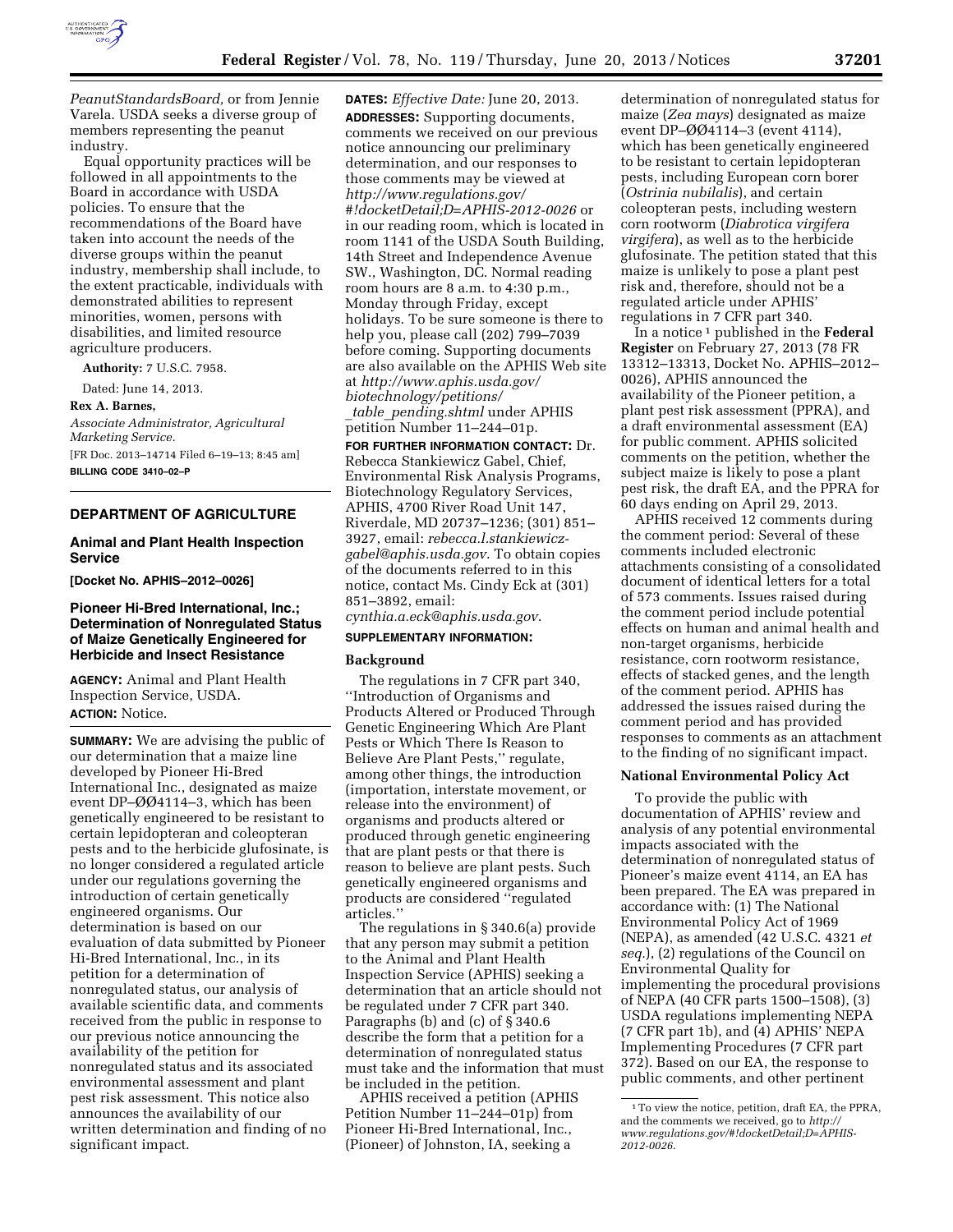

*[PeanutStandardsBoard,](http://www.ams.usda.gov/PeanutStandardsBoard)* or from Jennie Varela. USDA seeks a diverse group of members representing the peanut industry.

Equal opportunity practices will be followed in all appointments to the Board in accordance with USDA policies. To ensure that the recommendations of the Board have taken into account the needs of the diverse groups within the peanut industry, membership shall include, to the extent practicable, individuals with demonstrated abilities to represent minorities, women, persons with disabilities, and limited resource agriculture producers.

**Authority:** 7 U.S.C. 7958.

Dated: June 14, 2013.

#### **Rex A. Barnes,**

*Associate Administrator, Agricultural Marketing Service.*  [FR Doc. 2013–14714 Filed 6–19–13; 8:45 am]

**BILLING CODE 3410–02–P** 

# **DEPARTMENT OF AGRICULTURE**

#### **Animal and Plant Health Inspection Service**

**[Docket No. APHIS–2012–0026]** 

## **Pioneer Hi-Bred International, Inc.; Determination of Nonregulated Status of Maize Genetically Engineered for Herbicide and Insect Resistance**

**AGENCY:** Animal and Plant Health Inspection Service, USDA. **ACTION:** Notice.

**SUMMARY:** We are advising the public of our determination that a maize line developed by Pioneer Hi-Bred International Inc., designated as maize event DP–ØØ4114–3, which has been genetically engineered to be resistant to certain lepidopteran and coleopteran pests and to the herbicide glufosinate, is no longer considered a regulated article under our regulations governing the introduction of certain genetically engineered organisms. Our determination is based on our evaluation of data submitted by Pioneer Hi-Bred International, Inc., in its petition for a determination of nonregulated status, our analysis of available scientific data, and comments received from the public in response to our previous notice announcing the availability of the petition for nonregulated status and its associated environmental assessment and plant pest risk assessment. This notice also announces the availability of our written determination and finding of no significant impact.

**DATES:** *Effective Date:* June 20, 2013. **ADDRESSES:** Supporting documents, comments we received on our previous notice announcing our preliminary determination, and our responses to those comments may be viewed at *[http://www.regulations.gov/](http://www.regulations.gov/#!docketDetail;D=APHIS-2012-0026)  [#!docketDetail;D=APHIS-2012-0026](http://www.regulations.gov/#!docketDetail;D=APHIS-2012-0026)* or in our reading room, which is located in room 1141 of the USDA South Building, 14th Street and Independence Avenue SW., Washington, DC. Normal reading room hours are 8 a.m. to 4:30 p.m., Monday through Friday, except holidays. To be sure someone is there to help you, please call (202) 799–7039 before coming. Supporting documents are also available on the APHIS Web site at *[http://www.aphis.usda.gov/](http://www.aphis.usda.gov/biotechnology/petitions/_table_pending.shtml)  [biotechnology/petitions/](http://www.aphis.usda.gov/biotechnology/petitions/_table_pending.shtml)* 

\_*table*\_*[pending.shtml](http://www.aphis.usda.gov/biotechnology/petitions/_table_pending.shtml)* under APHIS petition Number 11–244–01p.

**FOR FURTHER INFORMATION CONTACT:** Dr. Rebecca Stankiewicz Gabel, Chief, Environmental Risk Analysis Programs, Biotechnology Regulatory Services, APHIS, 4700 River Road Unit 147, Riverdale, MD 20737–1236; (301) 851– 3927, email: *[rebecca.l.stankiewicz](mailto:rebecca.l.stankiewicz-gabel@aphis.usda.gov)[gabel@aphis.usda.gov](mailto:rebecca.l.stankiewicz-gabel@aphis.usda.gov)*. To obtain copies of the documents referred to in this notice, contact Ms. Cindy Eck at (301) 851–3892, email:

# *[cynthia.a.eck@aphis.usda.gov](mailto:cynthia.a.eck@aphis.usda.gov)*. **SUPPLEMENTARY INFORMATION:**

# **Background**

The regulations in 7 CFR part 340, ''Introduction of Organisms and Products Altered or Produced Through Genetic Engineering Which Are Plant Pests or Which There Is Reason to Believe Are Plant Pests,'' regulate, among other things, the introduction (importation, interstate movement, or release into the environment) of organisms and products altered or produced through genetic engineering that are plant pests or that there is reason to believe are plant pests. Such genetically engineered organisms and products are considered ''regulated articles.''

The regulations in § 340.6(a) provide that any person may submit a petition to the Animal and Plant Health Inspection Service (APHIS) seeking a determination that an article should not be regulated under 7 CFR part 340. Paragraphs (b) and (c) of § 340.6 describe the form that a petition for a determination of nonregulated status must take and the information that must be included in the petition.

APHIS received a petition (APHIS Petition Number 11–244–01p) from Pioneer Hi-Bred International, Inc., (Pioneer) of Johnston, IA, seeking a

determination of nonregulated status for maize (*Zea mays*) designated as maize event DP– $\emptyset\emptyset$ 4114–3 (event 4114), which has been genetically engineered to be resistant to certain lepidopteran pests, including European corn borer (*Ostrinia nubilalis*), and certain coleopteran pests, including western corn rootworm (*Diabrotica virgifera virgifera*), as well as to the herbicide glufosinate. The petition stated that this maize is unlikely to pose a plant pest risk and, therefore, should not be a regulated article under APHIS' regulations in 7 CFR part 340.

In a notice 1 published in the **Federal Register** on February 27, 2013 (78 FR 13312–13313, Docket No. APHIS–2012– 0026), APHIS announced the availability of the Pioneer petition, a plant pest risk assessment (PPRA), and a draft environmental assessment (EA) for public comment. APHIS solicited comments on the petition, whether the subject maize is likely to pose a plant pest risk, the draft EA, and the PPRA for 60 days ending on April 29, 2013.

APHIS received 12 comments during the comment period: Several of these comments included electronic attachments consisting of a consolidated document of identical letters for a total of 573 comments. Issues raised during the comment period include potential effects on human and animal health and non-target organisms, herbicide resistance, corn rootworm resistance, effects of stacked genes, and the length of the comment period. APHIS has addressed the issues raised during the comment period and has provided responses to comments as an attachment to the finding of no significant impact.

#### **National Environmental Policy Act**

To provide the public with documentation of APHIS' review and analysis of any potential environmental impacts associated with the determination of nonregulated status of Pioneer's maize event 4114, an EA has been prepared. The EA was prepared in accordance with: (1) The National Environmental Policy Act of 1969 (NEPA), as amended (42 U.S.C. 4321 *et seq.*), (2) regulations of the Council on Environmental Quality for implementing the procedural provisions of NEPA (40 CFR parts 1500–1508), (3) USDA regulations implementing NEPA (7 CFR part 1b), and (4) APHIS' NEPA Implementing Procedures (7 CFR part 372). Based on our EA, the response to public comments, and other pertinent

<sup>1</sup>To view the notice, petition, draft EA, the PPRA, and the comments we received, go to *[http://](http://www.regulations.gov/#!docketDetail;D=APHIS-2012-0026) [www.regulations.gov/#!docketDetail;D=APHIS-](http://www.regulations.gov/#!docketDetail;D=APHIS-2012-0026)[2012-0026](http://www.regulations.gov/#!docketDetail;D=APHIS-2012-0026)*.